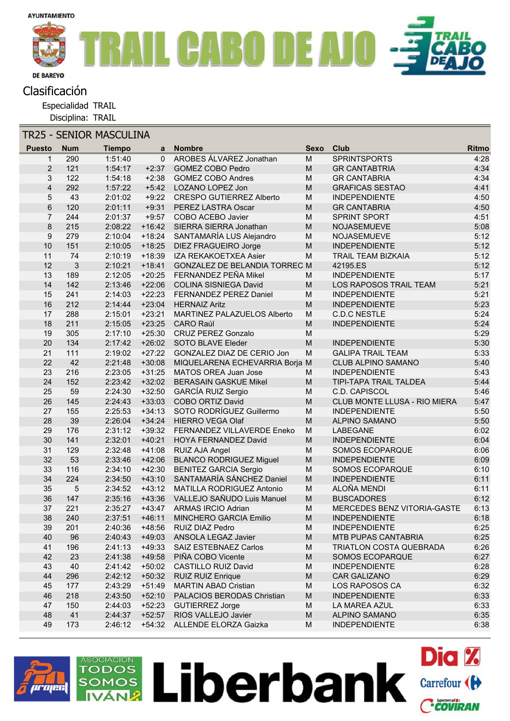

## Clasificación

Especialidad TRAIL

Disciplina: TRAIL

| <b>TR25 - SENIOR MASCULINA</b> |            |               |          |                                 |                                                                                                            |                              |       |
|--------------------------------|------------|---------------|----------|---------------------------------|------------------------------------------------------------------------------------------------------------|------------------------------|-------|
| <b>Puesto</b>                  | <b>Num</b> | <b>Tiempo</b> | a        | <b>Nombre</b>                   | <b>Sexo</b>                                                                                                | Club                         | Ritmo |
| 1                              | 290        | 1:51:40       | $\Omega$ | <b>AROBES ÁLVAREZ Jonathan</b>  | M                                                                                                          | <b>SPRINTSPORTS</b>          | 4:28  |
| $\overline{2}$                 | 121        | 1:54:17       | $+2:37$  | <b>GOMEZ COBO Pedro</b>         | M                                                                                                          | <b>GR CANTABTRIA</b>         | 4:34  |
| 3                              | 122        | 1:54:18       | $+2:38$  | <b>GOMEZ COBO Andres</b>        | M                                                                                                          | <b>GR CANTABRIA</b>          | 4:34  |
| $\overline{4}$                 | 292        | 1:57:22       | $+5:42$  | LOZANO LOPEZ Jon                | ${\sf M}$                                                                                                  | <b>GRAFICAS SESTAO</b>       | 4:41  |
| 5                              | 43         | 2:01:02       | $+9:22$  | <b>CRESPO GUTIERREZ Alberto</b> | M                                                                                                          | <b>INDEPENDIENTE</b>         | 4:50  |
| $\,6$                          | 120        | 2:01:11       | $+9:31$  | PEREZ LASTRA Oscar              | ${\sf M}$                                                                                                  | <b>GR CANTABRIA</b>          | 4:50  |
| $\overline{7}$                 | 244        | 2:01:37       | $+9:57$  | COBO ACEBO Javier               | M                                                                                                          | <b>SPRINT SPORT</b>          | 4:51  |
| 8                              | 215        | 2:08:22       | $+16:42$ | SIERRA SIERRA Jonathan          | $\mathsf{M}% _{T}=\mathsf{M}_{T}\!\left( a,b\right) ,\ \mathsf{M}_{T}=\mathsf{M}_{T}\!\left( a,b\right) ,$ | NOJASEMUEVE                  | 5:08  |
| 9                              | 279        | 2:10:04       | $+18:24$ | SANTAMARÍA LUS Alejandro        | M                                                                                                          | NOJASEMUEVE                  | 5:12  |
| 10                             | 151        | 2:10:05       | $+18:25$ | DIEZ FRAGUEIRO Jorge            | ${\sf M}$                                                                                                  | <b>INDEPENDIENTE</b>         | 5:12  |
| 11                             | 74         | 2:10:19       | $+18:39$ | IZA REKAKOETXEA Asier           | M                                                                                                          | <b>TRAIL TEAM BIZKAIA</b>    | 5:12  |
| 12                             | 3          | 2:10:21       | $+18:41$ | GONZALEZ DE BELANDIA TORREC M   |                                                                                                            | 42195.ES                     | 5:12  |
| 13                             | 189        | 2:12:05       | $+20:25$ | FERNANDEZ PEÑA Mikel            | M                                                                                                          | <b>INDEPENDIENTE</b>         | 5:17  |
| 14                             | 142        | 2:13:46       | $+22:06$ | <b>COLINA SISNIEGA David</b>    | M                                                                                                          | LOS RAPOSOS TRAIL TEAM       | 5:21  |
| 15                             | 241        | 2:14:03       | $+22:23$ | FERNANDEZ PEREZ Daniel          | ${\sf M}$                                                                                                  | <b>INDEPENDIENTE</b>         | 5:21  |
| 16                             | 212        | 2:14:44       | $+23:04$ | <b>HERNAIZ Aritz</b>            | ${\sf M}$                                                                                                  | <b>INDEPENDIENTE</b>         | 5:23  |
| 17                             | 288        | 2:15:01       | $+23:21$ | MARTINEZ PALAZUELOS Alberto     | M                                                                                                          | <b>C.D.C NESTLE</b>          | 5:24  |
| 18                             | 211        | 2:15:05       | $+23:25$ | <b>CARO Raúl</b>                | ${\sf M}$                                                                                                  | <b>INDEPENDIENTE</b>         | 5:24  |
| 19                             | 305        | 2:17:10       | $+25:30$ | <b>CRUZ PEREZ Gonzalo</b>       | ${\sf M}$                                                                                                  |                              | 5:29  |
| 20                             | 134        | 2:17:42       | $+26:02$ | SOTO BLAVE Eleder               | $\mathsf{M}% _{T}=\mathsf{M}_{T}\!\left( a,b\right) ,\ \mathsf{M}_{T}=\mathsf{M}_{T}\!\left( a,b\right) ,$ | <b>INDEPENDIENTE</b>         | 5:30  |
| 21                             | 111        | 2:19:02       | $+27:22$ | GONZALEZ DIAZ DE CERIO Jon      | M                                                                                                          | <b>GALIPA TRAIL TEAM</b>     | 5:33  |
| 22                             | 42         | 2:21:48       | $+30:08$ | MIQUELARENA ECHEVARRIA Borja M  |                                                                                                            | <b>CLUB ALPINO SAMANO</b>    | 5:40  |
| 23                             | 216        | 2:23:05       | $+31:25$ | <b>MATOS OREA Juan Jose</b>     | M                                                                                                          | <b>INDEPENDIENTE</b>         | 5:43  |
| 24                             | 152        | 2:23:42       | $+32:02$ | <b>BERASAIN GASKUE Mikel</b>    | $\mathsf{M}% _{T}=\mathsf{M}_{T}\!\left( a,b\right) ,\ \mathsf{M}_{T}=\mathsf{M}_{T}\!\left( a,b\right) ,$ | TIPI-TAPA TRAIL TALDEA       | 5:44  |
| 25                             | 59         | 2:24:30       | $+32:50$ | GARCÍA RUIZ Sergio              | M                                                                                                          | C.D. CAPISCOL                | 5:46  |
| 26                             | 145        | 2:24:43       | $+33:03$ | COBO ORTIZ David                | M                                                                                                          | CLUB MONTE LLUSA - RIO MIERA | 5:47  |
| 27                             | 155        | 2:25:53       | $+34:13$ | SOTO RODRÍGUEZ Guillermo        | $\mathsf{M}% _{T}=\mathsf{M}_{T}\!\left( a,b\right) ,\ \mathsf{M}_{T}=\mathsf{M}_{T}$                      | <b>INDEPENDIENTE</b>         | 5:50  |
| 28                             | 39         | 2:26:04       | $+34:24$ | <b>HIERRO VEGA Olaf</b>         | $\mathsf{M}% _{T}=\mathsf{M}_{T}\!\left( a,b\right) ,\ \mathsf{M}_{T}=\mathsf{M}_{T}\!\left( a,b\right) ,$ | <b>ALPINO SAMANO</b>         | 5:50  |
| 29                             | 176        | 2:31:12       | $+39:32$ | FERNANDEZ VILLAVERDE Eneko      | ${\sf M}$                                                                                                  | LABEGANE                     | 6:02  |
| 30                             | 141        | 2:32:01       | $+40:21$ | HOYA FERNANDEZ David            | M                                                                                                          | <b>INDEPENDIENTE</b>         | 6:04  |
| 31                             | 129        | 2:32:48       | $+41:08$ | RUIZ AJA Angel                  | ${\sf M}$                                                                                                  | SOMOS ECOPARQUE              | 6:06  |
| 32                             | 53         | 2:33:46       | $+42:06$ | <b>BLANCO RODRIGUEZ Miguel</b>  | $\mathsf{M}% _{T}=\mathsf{M}_{T}\!\left( a,b\right) ,\ \mathsf{M}_{T}=\mathsf{M}_{T}\!\left( a,b\right) ,$ | <b>INDEPENDIENTE</b>         | 6:09  |
| 33                             | 116        | 2:34:10       | $+42:30$ | <b>BENITEZ GARCIA Sergio</b>    | M                                                                                                          | SOMOS ECOPARQUE              | 6:10  |
| 34                             | 224        | 2:34:50       | $+43:10$ | SANTAMARÍA SÁNCHEZ Daniel       | ${\sf M}$                                                                                                  | <b>INDEPENDIENTE</b>         | 6:11  |
| 35                             | 5          | 2:34:52       | $+43:12$ | MATILLA RODRIGUEZ Antonio       | M                                                                                                          | ALOÑA MENDI                  | 6:11  |
| 36                             | 147        | 2:35:16       | $+43:36$ | VALLEJO SAÑUDO Luis Manuel      | $\mathsf{M}% _{T}=\mathsf{M}_{T}\!\left( a,b\right) ,\ \mathsf{M}_{T}=\mathsf{M}_{T}\!\left( a,b\right) ,$ | <b>BUSCADORES</b>            | 6:12  |
| 37                             | 221        | 2:35:27       | $+43:47$ | <b>ARMAS IRCIO Adrian</b>       | M                                                                                                          | MERCEDES BENZ VITORIA-GASTE  | 6:13  |
| 38                             | 240        | 2:37:51       | $+46:11$ | MINCHERO GARCIA Emilio          | ${\sf M}$                                                                                                  | <b>INDEPENDIENTE</b>         | 6:18  |
| 39                             | 201        | 2:40:36       | $+48:56$ | RUIZ DIAZ Pedro                 | M                                                                                                          | <b>INDEPENDIENTE</b>         | 6:25  |
| 40                             | 96         | 2:40:43       | $+49:03$ | ANSOLA LEGAZ Javier             | ${\sf M}$                                                                                                  | MTB PUPAS CANTABRIA          | 6:25  |
| 41                             | 196        | 2:41:13       | +49:33   | <b>SAIZ ESTEBNAEZ Carlos</b>    | M                                                                                                          | TRIATLON COSTA QUEBRADA      | 6:26  |
| 42                             | 23         | 2:41:38       | $+49:58$ | PIÑA COBO Vicente               | ${\sf M}$                                                                                                  | SOMOS ECOPARQUE              | 6:27  |
| 43                             | 40         | 2:41:42       | $+50:02$ | <b>CASTILLO RUIZ David</b>      | M                                                                                                          | <b>INDEPENDIENTE</b>         | 6:28  |
| 44                             | 296        | 2:42:12       | $+50:32$ | <b>RUIZ RUIZ Enrique</b>        | $\mathsf{M}% _{T}=\mathsf{M}_{T}\!\left( a,b\right) ,\ \mathsf{M}_{T}=\mathsf{M}_{T}\!\left( a,b\right) ,$ | <b>CAR GALIZANO</b>          | 6:29  |
| 45                             | 177        | 2:43:29       | $+51:49$ | <b>MARTIN ABAD Cristian</b>     | M                                                                                                          | LOS RAPOSOS CA               | 6:32  |
| 46                             | 218        | 2:43:50       | $+52:10$ | PALACIOS BERODAS Christian      | ${\sf M}$                                                                                                  | <b>INDEPENDIENTE</b>         | 6:33  |
| 47                             | 150        | 2:44:03       | $+52:23$ | <b>GUTIERREZ Jorge</b>          | M                                                                                                          | LA MAREA AZUL                | 6:33  |
| 48                             | 41         | 2:44:37       | $+52:57$ | RIOS VALLEJO Javier             | ${\sf M}$                                                                                                  | ALPINO SAMANO                | 6:35  |
| 49                             | 173        | 2:46:12       |          | +54:32 ALLENDE ELORZA Gaizka    | M                                                                                                          | <b>INDEPENDIENTE</b>         | 6:38  |

Liberbank Carrefour (H

**Dia %** 

Ccoviran



**ASOCIACIÓN TODOS** 

1OS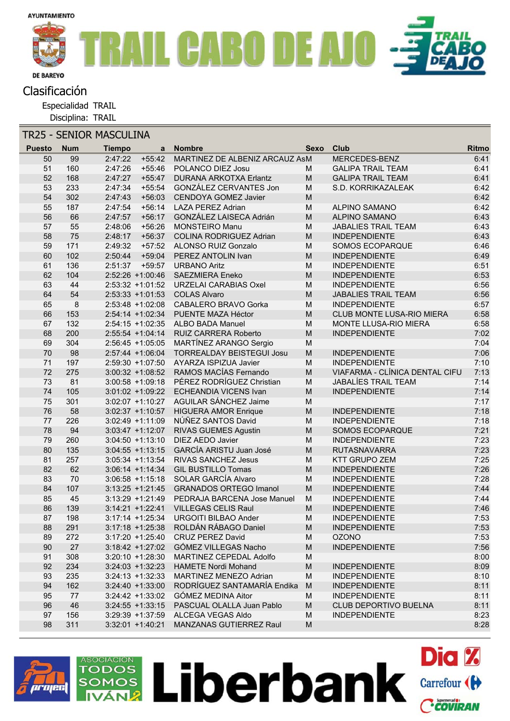

## Clasificación

Especialidad TRAIL

Disciplina: TRAIL

| <b>TR25 - SENIOR MASCULINA</b> |               |            |                     |                     |                                          |                                                                                                                 |                                             |              |
|--------------------------------|---------------|------------|---------------------|---------------------|------------------------------------------|-----------------------------------------------------------------------------------------------------------------|---------------------------------------------|--------------|
|                                | <b>Puesto</b> | <b>Num</b> | <b>Tiempo</b>       | a                   | <b>Nombre</b>                            | Sexo                                                                                                            | Club                                        | <b>Ritmo</b> |
|                                | 50            | 99         | 2:47:22             | $+55:42$            | MARTINEZ DE ALBENIZ ARCAUZ ASM           |                                                                                                                 | <b>MERCEDES-BENZ</b>                        | 6:41         |
|                                | 51            | 160        | 2:47:26             | +55:46              | POLANCO DIEZ Josu                        | м                                                                                                               | <b>GALIPA TRAIL TEAM</b>                    | 6:41         |
|                                | 52            | 168        | 2:47:27             | $+55:47$            | <b>DURANA ARKOTXA Erlantz</b>            | $\mathsf{M}% _{T}=\mathsf{M}_{T}\!\left( a,b\right) ,\ \mathsf{M}_{T}=\mathsf{M}_{T}\!\left( a,b\right) ,$      | <b>GALIPA TRAIL TEAM</b>                    | 6:41         |
|                                | 53            | 233        | 2:47:34             | $+55:54$            | GONZÁLEZ CERVANTES Jon                   | M                                                                                                               | S.D. KORRIKAZALEAK                          | 6:42         |
|                                | 54            | 302        | 2:47:43             | $+56:03$            | <b>CENDOYA GOMEZ Javier</b>              | M                                                                                                               |                                             | 6:42         |
|                                | 55            | 187        | 2:47:54             | $+56:14$            | <b>LAZA PEREZ Adrian</b>                 | M                                                                                                               | <b>ALPINO SAMANO</b>                        | 6:42         |
|                                | 56            | 66         | 2:47:57             | $+56:17$            | GONZÁLEZ LAISECA Adrián                  | $\mathsf{M}% _{T}=\mathsf{M}_{T}\!\left( a,b\right) ,\ \mathsf{M}_{T}=\mathsf{M}_{T}\!\left( a,b\right) ,$      | ALPINO SAMANO                               | 6:43         |
|                                | 57            | 55         | 2:48:06             | $+56:26$            | <b>MONSTEIRO Manu</b>                    | ${\sf M}$                                                                                                       | <b>JABALIES TRAIL TEAM</b>                  | 6:43         |
|                                | 58            | 75         | 2:48:17             | $+56:37$            | <b>COLINA RODRIGUEZ Adrian</b>           | ${\sf M}$                                                                                                       | <b>INDEPENDIENTE</b>                        | 6:43         |
|                                | 59            | 171        | 2:49:32             |                     | +57:52 ALONSO RUIZ Gonzalo               | M                                                                                                               | SOMOS ECOPARQUE                             | 6:46         |
|                                | 60            | 102        | 2:50:44             | $+59:04$            | PEREZ ANTOLIN Ivan                       | $\mathsf{M}% _{T}=\mathsf{M}_{T}\!\left( a,b\right) ,\ \mathsf{M}_{T}=\mathsf{M}_{T}\!\left( a,b\right) ,$      | <b>INDEPENDIENTE</b>                        | 6:49         |
|                                | 61            | 136        | 2:51:37             | $+59:57$            | <b>URBANO Aritz</b>                      | ${\sf M}$                                                                                                       | <b>INDEPENDIENTE</b>                        | 6:51         |
|                                | 62            | 104        | 2:52:26 +1:00:46    |                     | <b>SAEZMIERA Eneko</b>                   | ${\sf M}$                                                                                                       | <b>INDEPENDIENTE</b>                        | 6:53         |
|                                | 63            | 44         |                     | $2:53:32 +1:01:52$  | <b>URZELAI CARABIAS Oxel</b>             | M                                                                                                               | <b>INDEPENDIENTE</b>                        | 6:56         |
|                                | 64            | 54         |                     | $2:53:33 +1:01:53$  | <b>COLAS Alvaro</b>                      | $\mathsf{M}% _{T}=\mathsf{M}_{T}\!\left( a,b\right) ,\ \mathsf{M}_{T}=\mathsf{M}_{T}\!\left( a,b\right) ,$      | <b>JABALIES TRAIL TEAM</b>                  | 6:56         |
|                                | 65            | 8          |                     | $2:53:48 +1:02:08$  | CABALERO BRAVO Gorka                     | M                                                                                                               | <b>INDEPENDIENTE</b>                        | 6:57         |
|                                | 66            | 153        |                     | 2:54:14 +1:02:34    | PUENTE MAZA Héctor                       | M                                                                                                               | CLUB MONTE LUSA-RIO MIERA                   | 6:58         |
|                                | 67            | 132        |                     | $2:54:15 +1:02:35$  | <b>ALBO BADA Manuel</b>                  | M                                                                                                               | MONTE LLUSA-RIO MIERA                       | 6:58         |
|                                | 68            | 200        |                     | $2:55:54$ +1:04:14  | <b>RUIZ CARRERA Roberto</b>              | $\mathsf{M}% _{T}=\mathsf{M}_{T}\!\left( a,b\right) ,\ \mathsf{M}_{T}=\mathsf{M}_{T}\!\left( a,b\right) ,$      | <b>INDEPENDIENTE</b>                        | 7:02         |
|                                | 69            | 304        |                     | $2:56:45 +1:05:05$  | MARTÍNEZ ARANGO Sergio                   | M                                                                                                               |                                             | 7:04         |
|                                | 70            | 98         | 2:57:44 +1:06:04    |                     | <b>TORREALDAY BEISTEGUI Josu</b>         | $\mathsf{M}% _{T}=\mathsf{M}_{T}\!\left( a,b\right) ,\ \mathsf{M}_{T}=\mathsf{M}_{T}\!\left( a,b\right) ,$      | <b>INDEPENDIENTE</b>                        | 7:06         |
|                                | 71            | 197        |                     | $2:59:30 +1:07:50$  | AYARZA ISPIZUA Javier                    | M                                                                                                               | <b>INDEPENDIENTE</b>                        | 7:10         |
|                                | 72            | 275        |                     | $3:00:32 +1:08:52$  | RAMOS MACÍAS Fernando                    | $\mathsf{M}% _{T}=\mathsf{M}_{T}\!\left( a,b\right) ,\ \mathsf{M}_{T}=\mathsf{M}_{T}\!\left( a,b\right) ,$      | VIAFARMA - CLÍNICA DENTAL CIFU              | 7:13         |
|                                | 73            | 81         |                     | $3:00:58 +1:09:18$  | PÉREZ RODRÍGUEZ Christian                | M                                                                                                               | <b>JABALÍES TRAIL TEAM</b>                  | 7:14         |
|                                | 74            | 105        |                     | $3:01:02 +1:09:22$  | <b>ECHEANDIA VICENS Ivan</b>             | $\mathsf{M}% _{T}=\mathsf{M}_{T}\!\left( a,b\right) ,\ \mathsf{M}_{T}=\mathsf{M}_{T}\!\left( a,b\right) ,$      | <b>INDEPENDIENTE</b>                        | 7:14         |
|                                | 75            | 301        |                     | $3:02:07 +1:10:27$  | AGUILAR SÁNCHEZ Jaime                    | M                                                                                                               |                                             | 7:17         |
|                                | 76            | 58         | $3:02:37 +1:10:57$  |                     | <b>HIGUERA AMOR Enrique</b>              | $\mathsf{M}% _{T}=\mathsf{M}_{T}\!\left( a,b\right) ,\ \mathsf{M}_{T}=\mathsf{M}_{T}\!\left( a,b\right) ,$      | <b>INDEPENDIENTE</b>                        | 7:18         |
|                                | 77            | 226        |                     | $3:02:49 +1:11:09$  | NÚÑEZ SANTOS David                       | M                                                                                                               | <b>INDEPENDIENTE</b>                        | 7:18         |
|                                | 78<br>79      | 94<br>260  |                     | $3:03:47 +1:12:07$  | RIVAS GUEMES Agustin<br>DIEZ AEDO Javier | M                                                                                                               | <b>SOMOS ECOPARQUE</b>                      | 7:21<br>7:23 |
|                                | 80            | 135        | $3:04:50 +1:13:10$  | $3:04:55$ +1:13:15  | <b>GARCÍA ARISTU Juan José</b>           | M<br>$\mathsf{M}% _{T}=\mathsf{M}_{T}\!\left( a,b\right) ,\ \mathsf{M}_{T}=\mathsf{M}_{T}\!\left( a,b\right) ,$ | <b>INDEPENDIENTE</b>                        | 7:23         |
|                                | 81            | 257        |                     | $3:05:34 +1:13:54$  | RIVAS SANCHEZ Jesus                      | M                                                                                                               | <b>RUTASNAVARRA</b><br><b>KTT GRUPO ZEM</b> | 7:25         |
|                                | 82            | 62         | $3:06:14 +1:14:34$  |                     | <b>GIL BUSTILLO Tomas</b>                | $\mathsf{M}% _{T}=\mathsf{M}_{T}\!\left( a,b\right) ,\ \mathsf{M}_{T}=\mathsf{M}_{T}\!\left( a,b\right) ,$      | <b>INDEPENDIENTE</b>                        | 7:26         |
|                                | 83            | 70         |                     | $3:06:58 +1:15:18$  | SOLAR GARCÍA Alvaro                      | M                                                                                                               | <b>INDEPENDIENTE</b>                        | 7:28         |
|                                | 84            | 107        | $3:13:25 +1:21:45$  |                     | <b>GRANADOS ORTEGO Imanol</b>            | $\mathsf{M}% _{T}=\mathsf{M}_{T}\!\left( a,b\right) ,\ \mathsf{M}_{T}=\mathsf{M}_{T}\!\left( a,b\right) ,$      | <b>INDEPENDIENTE</b>                        | 7:44         |
|                                | 85            | 45         | $3:13:29 + 1:21:49$ |                     | PEDRAJA BARCENA Jose Manuel              | ${\sf M}$                                                                                                       | <b>INDEPENDIENTE</b>                        | 7:44         |
|                                | 86            | 139        | $3:14:21 + 1:22:41$ |                     | <b>VILLEGAS CELIS Raul</b>               | M                                                                                                               | <b>INDEPENDIENTE</b>                        | 7:46         |
|                                | 87            | 198        |                     | $3:17:14 + 1:25:34$ | <b>URGOITI BILBAO Ander</b>              | M                                                                                                               | <b>INDEPENDIENTE</b>                        | 7:53         |
|                                | 88            | 291        |                     | $3:17:18 + 1:25:38$ | ROLDÁN RÁBAGO Daniel                     | ${\sf M}$                                                                                                       | <b>INDEPENDIENTE</b>                        | 7:53         |
|                                | 89            | 272        |                     | $3:17:20 + 1:25:40$ | <b>CRUZ PEREZ David</b>                  | M                                                                                                               | <b>OZONO</b>                                | 7:53         |
|                                | 90            | 27         |                     | $3:18:42 + 1:27:02$ | GÓMEZ VILLEGAS Nacho                     | ${\sf M}$                                                                                                       | <b>INDEPENDIENTE</b>                        | 7:56         |
|                                | 91            | 308        |                     | $3:20:10 + 1:28:30$ | MARTINEZ CEPEDAL Adolfo                  | M                                                                                                               |                                             | 8:00         |
|                                | 92            | 234        |                     | $3:24:03 +1:32:23$  | <b>HAMETE Nordi Mohand</b>               | $\mathsf{M}% _{T}=\mathsf{M}_{T}\!\left( a,b\right) ,\ \mathsf{M}_{T}=\mathsf{M}_{T}\!\left( a,b\right) ,$      | <b>INDEPENDIENTE</b>                        | 8:09         |
|                                | 93            | 235        |                     | $3:24:13 +1:32:33$  | <b>MARTINEZ MENEZO Adrian</b>            | M                                                                                                               | <b>INDEPENDIENTE</b>                        | 8:10         |
|                                | 94            | 162        |                     | $3:24:40 +1:33:00$  | RODRÍGUEZ SANTAMARÍA Endika              | ${\sf M}$                                                                                                       | <b>INDEPENDIENTE</b>                        | 8:11         |
|                                | 95            | 77         |                     | $3:24:42 +1:33:02$  | GÓMEZ MEDINA Aitor                       | M                                                                                                               | <b>INDEPENDIENTE</b>                        | 8:11         |
|                                | 96            | 46         |                     | $3:24:55$ +1:33:15  | PASCUAL OLALLA Juan Pablo                | M                                                                                                               | CLUB DEPORTIVO BUELNA                       | 8:11         |
|                                | 97            | 156        |                     | $3:29:39 + 1:37:59$ | ALCEGA VEGAS Aldo                        | M                                                                                                               | <b>INDEPENDIENTE</b>                        | 8:23         |
|                                | 98            | 311        | $3:32:01 + 1:40:21$ |                     | MANZANAS GUTIERREZ Raul                  | ${\sf M}$                                                                                                       |                                             | 8:28         |
|                                |               |            |                     |                     |                                          |                                                                                                                 |                                             |              |



**ASOCIACIÓN TODOS** 

1OS